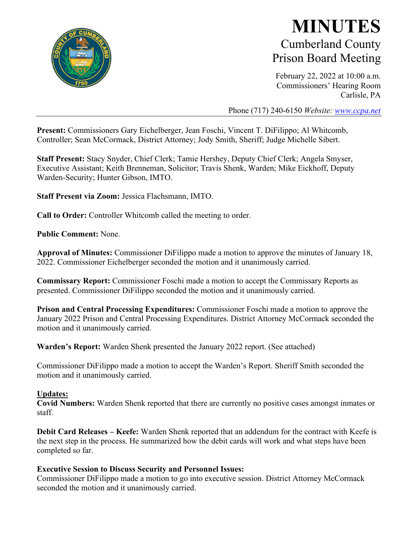

## **MINUTES** Cumberland County Prison Board Meeting

February 22, 2022 at 10:00 a.m. Commissioners' Hearing Room Carlisle, PA

Phone (717) 240-6150 *Website: [www.ccpa.net](http://www.ccpa.net/)*

**Present:** Commissioners Gary Eichelberger, Jean Foschi, Vincent T. DiFilippo; Al Whitcomb, Controller; Sean McCormack, District Attorney; Jody Smith, Sheriff; Judge Michelle Sibert.

**Staff Present:** Stacy Snyder, Chief Clerk; Tamie Hershey, Deputy Chief Clerk; Angela Smyser, Executive Assistant; Keith Brenneman, Solicitor; Travis Shenk, Warden; Mike Eickhoff, Deputy Warden-Security; Hunter Gibson, IMTO.

**Staff Present via Zoom:** Jessica Flachsmann, IMTO.

**Call to Order:** Controller Whitcomb called the meeting to order.

**Public Comment:** None.

**Approval of Minutes:** Commissioner DiFilippo made a motion to approve the minutes of January 18, 2022. Commissioner Eichelberger seconded the motion and it unanimously carried.

**Commissary Report:** Commissioner Foschi made a motion to accept the Commissary Reports as presented. Commissioner DiFilippo seconded the motion and it unanimously carried.

**Prison and Central Processing Expenditures:** Commissioner Foschi made a motion to approve the January 2022 Prison and Central Processing Expenditures. District Attorney McCormack seconded the motion and it unanimously carried.

**Warden's Report:** Warden Shenk presented the January 2022 report. (See attached)

Commissioner DiFilippo made a motion to accept the Warden's Report. Sheriff Smith seconded the motion and it unanimously carried.

### **Updates:**

**Covid Numbers:** Warden Shenk reported that there are currently no positive cases amongst inmates or staff.

**Debit Card Releases – Keefe:** Warden Shenk reported that an addendum for the contract with Keefe is the next step in the process. He summarized how the debit cards will work and what steps have been completed so far.

### **Executive Session to Discuss Security and Personnel Issues:**

Commissioner DiFilippo made a motion to go into executive session. District Attorney McCormack seconded the motion and it unanimously carried.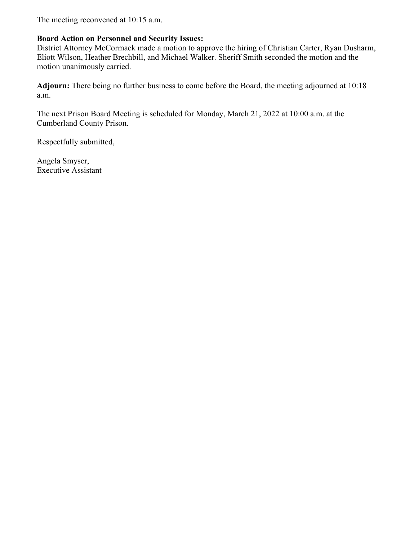The meeting reconvened at 10:15 a.m.

### **Board Action on Personnel and Security Issues:**

District Attorney McCormack made a motion to approve the hiring of Christian Carter, Ryan Dusharm, Eliott Wilson, Heather Brechbill, and Michael Walker. Sheriff Smith seconded the motion and the motion unanimously carried.

**Adjourn:** There being no further business to come before the Board, the meeting adjourned at 10:18 a.m.

The next Prison Board Meeting is scheduled for Monday, March 21, 2022 at 10:00 a.m. at the Cumberland County Prison.

Respectfully submitted,

Angela Smyser, Executive Assistant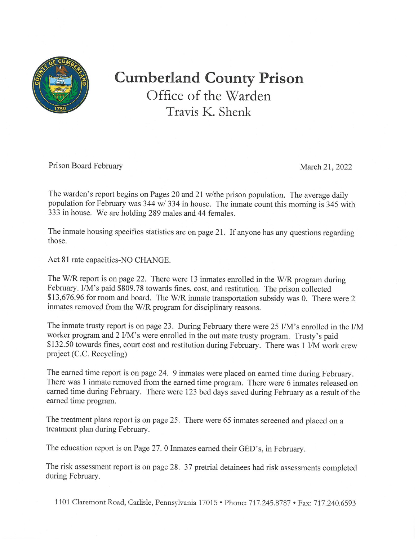

# **Cumberland County Prison** Office of the Warden Travis K. Shenk

Prison Board February

March 21, 2022

The warden's report begins on Pages 20 and 21 w/the prison population. The average daily population for February was 344 w/ 334 in house. The inmate count this morning is 345 with 333 in house. We are holding 289 males and 44 females.

The inmate housing specifics statistics are on page 21. If anyone has any questions regarding those.

Act 81 rate capacities-NO CHANGE.

The W/R report is on page 22. There were 13 inmates enrolled in the W/R program during February. I/M's paid \$809.78 towards fines, cost, and restitution. The prison collected \$13,676.96 for room and board. The W/R inmate transportation subsidy was 0. There were 2 inmates removed from the W/R program for disciplinary reasons.

The inmate trusty report is on page 23. During February there were 25 I/M's enrolled in the I/M worker program and 2 I/M's were enrolled in the out mate trusty program. Trusty's paid \$132.50 towards fines, court cost and restitution during February. There was 1 I/M work crew project (C.C. Recycling)

The earned time report is on page 24. 9 inmates were placed on earned time during February. There was 1 inmate removed from the earned time program. There were 6 inmates released on earned time during February. There were 123 bed days saved during February as a result of the earned time program.

The treatment plans report is on page 25. There were 65 inmates screened and placed on a treatment plan during February.

The education report is on Page 27. 0 Inmates earned their GED's, in February.

The risk assessment report is on page 28. 37 pretrial detainees had risk assessments completed during February.

1101 Claremont Road, Carlisle, Pennsylvania 17015 · Phone: 717.245.8787 · Fax: 717.240.6593